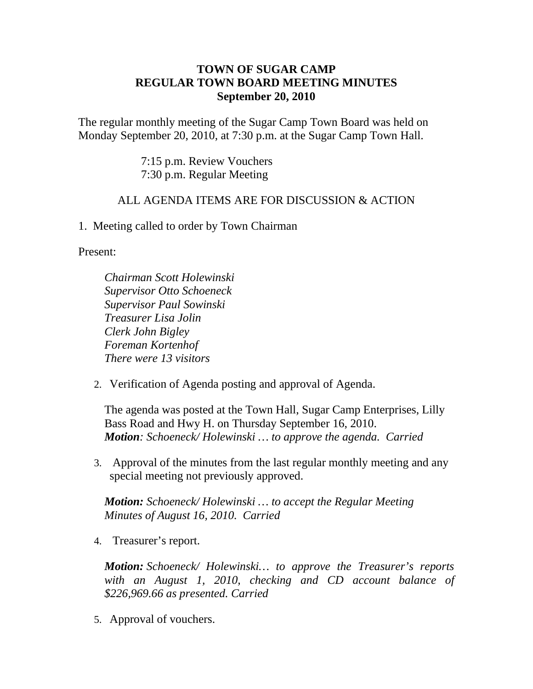## **TOWN OF SUGAR CAMP REGULAR TOWN BOARD MEETING MINUTES September 20, 2010**

The regular monthly meeting of the Sugar Camp Town Board was held on Monday September 20, 2010, at 7:30 p.m. at the Sugar Camp Town Hall.

> 7:15 p.m. Review Vouchers 7:30 p.m. Regular Meeting

## ALL AGENDA ITEMS ARE FOR DISCUSSION & ACTION

1. Meeting called to order by Town Chairman

Present:

*Chairman Scott Holewinski Supervisor Otto Schoeneck Supervisor Paul Sowinski Treasurer Lisa Jolin Clerk John Bigley Foreman Kortenhof There were 13 visitors*

2. Verification of Agenda posting and approval of Agenda.

The agenda was posted at the Town Hall, Sugar Camp Enterprises, Lilly Bass Road and Hwy H. on Thursday September 16, 2010. *Motion: Schoeneck/ Holewinski … to approve the agenda. Carried*

3. Approval of the minutes from the last regular monthly meeting and any special meeting not previously approved.

*Motion: Schoeneck/ Holewinski … to accept the Regular Meeting Minutes of August 16, 2010. Carried*

4. Treasurer's report.

*Motion: Schoeneck/ Holewinski… to approve the Treasurer's reports with an August 1, 2010, checking and CD account balance of \$226,969.66 as presented. Carried*

5. Approval of vouchers.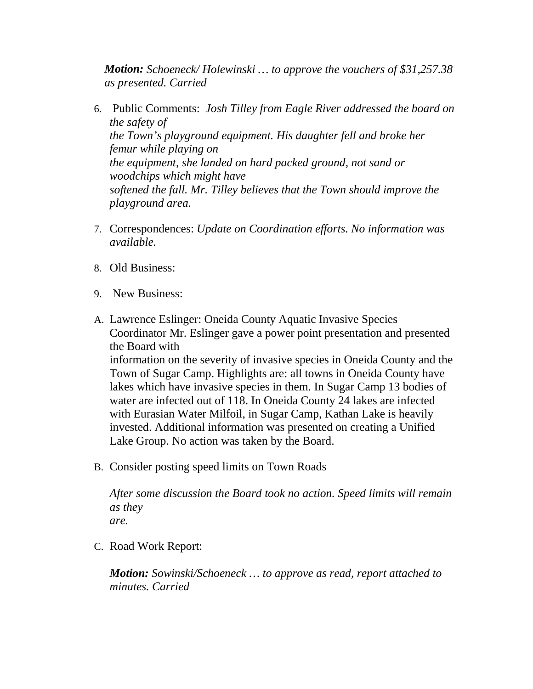*Motion: Schoeneck/ Holewinski … to approve the vouchers of \$31,257.38 as presented. Carried*

- 6. Public Comments: *Josh Tilley from Eagle River addressed the board on the safety of the Town's playground equipment. His daughter fell and broke her femur while playing on the equipment, she landed on hard packed ground, not sand or woodchips which might have softened the fall. Mr. Tilley believes that the Town should improve the playground area.*
- 7. Correspondences: *Update on Coordination efforts. No information was available.*
- 8. Old Business:
- 9. New Business:
- A. Lawrence Eslinger: Oneida County Aquatic Invasive Species Coordinator Mr. Eslinger gave a power point presentation and presented the Board with information on the severity of invasive species in Oneida County and the Town of Sugar Camp. Highlights are: all towns in Oneida County have lakes which have invasive species in them. In Sugar Camp 13 bodies of water are infected out of 118. In Oneida County 24 lakes are infected with Eurasian Water Milfoil, in Sugar Camp, Kathan Lake is heavily invested. Additional information was presented on creating a Unified Lake Group. No action was taken by the Board.
- B. Consider posting speed limits on Town Roads

*After some discussion the Board took no action. Speed limits will remain as they*

*are.*

C. Road Work Report:

*Motion: Sowinski/Schoeneck … to approve as read, report attached to minutes. Carried*